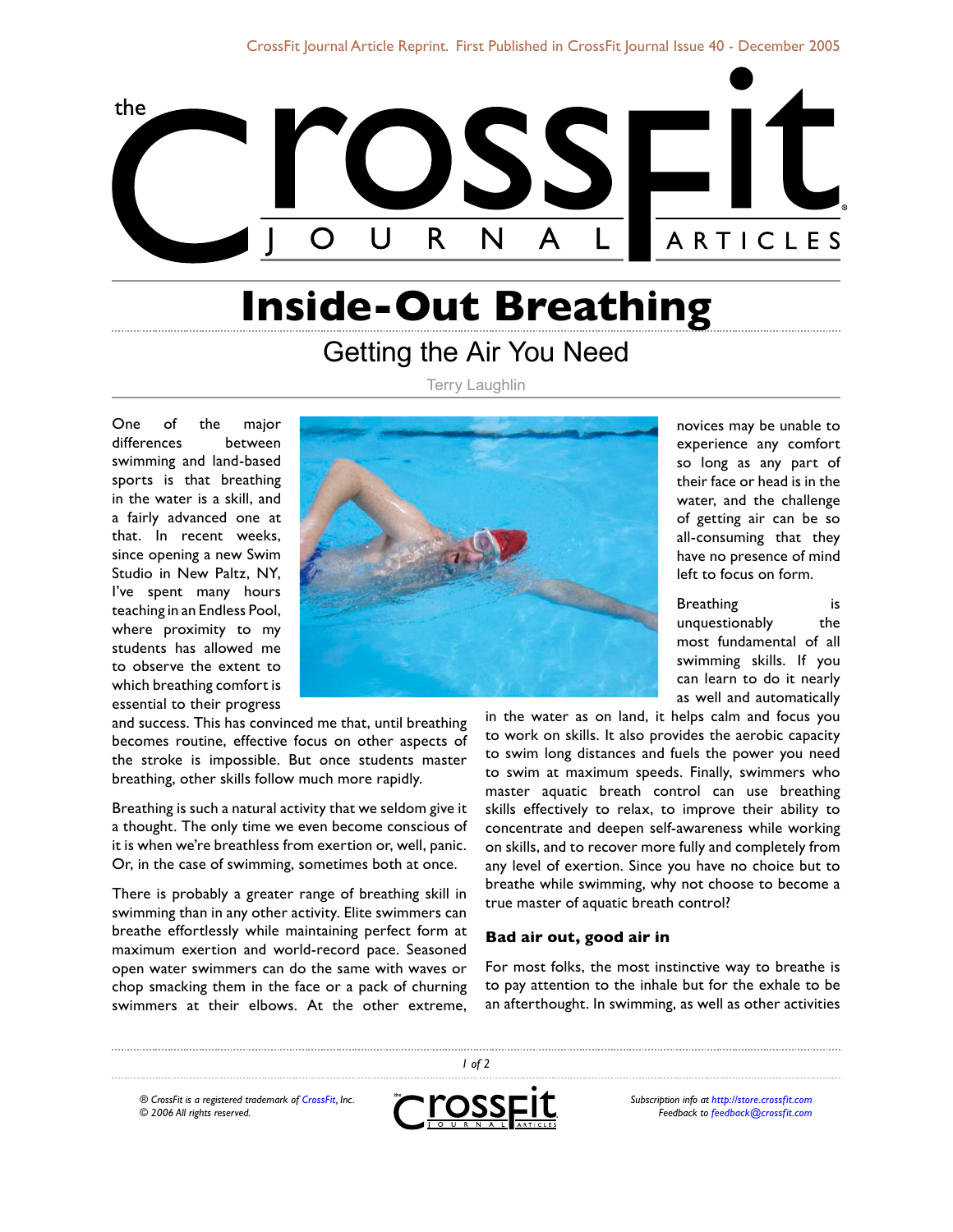

# **Inside-Out Breathing**

# Getting the Air You Need

Terry Laughlin

One of the major differences between swimming and land-based sports is that breathing in the water is a skill, and a fairly advanced one at that. In recent weeks, since opening a new Swim Studio in New Paltz, NY, I've spent many hours teaching in an Endless Pool, where proximity to my students has allowed me to observe the extent to which breathing comfort is essential to their progress



and success. This has convinced me that, until breathing becomes routine, effective focus on other aspects of the stroke is impossible. But once students master breathing, other skills follow much more rapidly.

Breathing is such a natural activity that we seldom give it a thought. The only time we even become conscious of it is when we're breathless from exertion or, well, panic. Or, in the case of swimming, sometimes both at once.

There is probably a greater range of breathing skill in swimming than in any other activity. Elite swimmers can breathe effortlessly while maintaining perfect form at maximum exertion and world-record pace. Seasoned open water swimmers can do the same with waves or chop smacking them in the face or a pack of churning swimmers at their elbows. At the other extreme,

novices may be unable to experience any comfort so long as any part of their face or head is in the water, and the challenge of getting air can be so all-consuming that they have no presence of mind left to focus on form.

Breathing is unquestionably the most fundamental of all swimming skills. If you can learn to do it nearly as well and automatically

in the water as on land, it helps calm and focus you to work on skills. It also provides the aerobic capacity to swim long distances and fuels the power you need to swim at maximum speeds. Finally, swimmers who master aquatic breath control can use breathing skills effectively to relax, to improve their ability to concentrate and deepen self-awareness while working on skills, and to recover more fully and completely from any level of exertion. Since you have no choice but to breathe while swimming, why not choose to become a true master of aquatic breath control?

#### **Bad air out, good air in**

For most folks, the most instinctive way to breathe is to pay attention to the inhale but for the exhale to be an afterthought. In swimming, as well as other activities

*® CrossFit is a registered trademark of [CrossFit,](http://www.crossfit.com) Inc. © 2006 All rights reserved.*



 *of 2*

*Subscription info at [http://store.crossfit.com](http://journal.crossfit.com) Feedback to [feedback@crossfit.com](mailto:feedback@crossfit.com)*